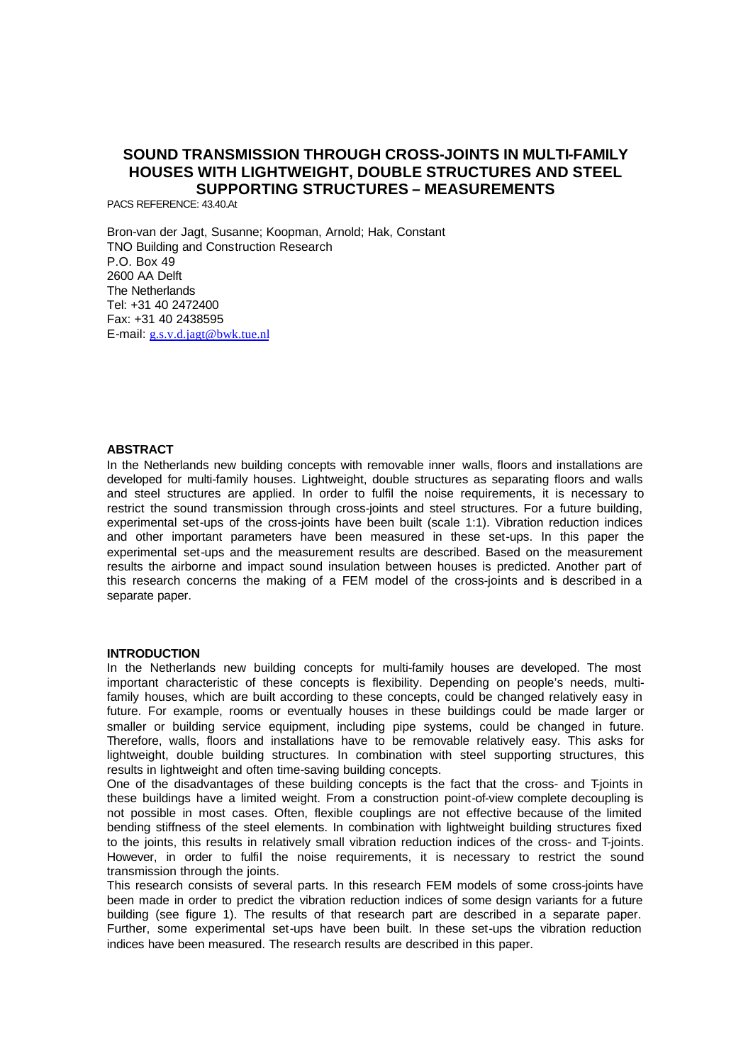# **SOUND TRANSMISSION THROUGH CROSS-JOINTS IN MULTI-FAMILY HOUSES WITH LIGHTWEIGHT, DOUBLE STRUCTURES AND STEEL SUPPORTING STRUCTURES – MEASUREMENTS**

PACS REFERENCE: 43.40.At

Bron-van der Jagt, Susanne; Koopman, Arnold; Hak, Constant TNO Building and Construction Research P.O. Box 49 2600 AA Delft The Netherlands Tel: +31 40 2472400 Fax: +31 40 2438595 E-mail: g.s.v.d.jagt@bwk.tue.nl

### **ABSTRACT**

In the Netherlands new building concepts with removable inner walls, floors and installations are developed for multi-family houses. Lightweight, double structures as separating floors and walls and steel structures are applied. In order to fulfil the noise requirements, it is necessary to restrict the sound transmission through cross-joints and steel structures. For a future building, experimental set-ups of the cross-joints have been built (scale 1:1). Vibration reduction indices and other important parameters have been measured in these set-ups. In this paper the experimental set-ups and the measurement results are described. Based on the measurement results the airborne and impact sound insulation between houses is predicted. Another part of this research concerns the making of a FEM model of the cross-joints and is described in a separate paper.

#### **INTRODUCTION**

In the Netherlands new building concepts for multi-family houses are developed. The most important characteristic of these concepts is flexibility. Depending on people's needs, multifamily houses, which are built according to these concepts, could be changed relatively easy in future. For example, rooms or eventually houses in these buildings could be made larger or smaller or building service equipment, including pipe systems, could be changed in future. Therefore, walls, floors and installations have to be removable relatively easy. This asks for lightweight, double building structures. In combination with steel supporting structures, this results in lightweight and often time-saving building concepts.

One of the disadvantages of these building concepts is the fact that the cross- and T-joints in these buildings have a limited weight. From a construction point-of-view complete decoupling is not possible in most cases. Often, flexible couplings are not effective because of the limited bending stiffness of the steel elements. In combination with lightweight building structures fixed to the joints, this results in relatively small vibration reduction indices of the cross- and T-joints. However, in order to fulfil the noise requirements, it is necessary to restrict the sound transmission through the joints.

This research consists of several parts. In this research FEM models of some cross-joints have been made in order to predict the vibration reduction indices of some design variants for a future building (see figure 1). The results of that research part are described in a separate paper. Further, some experimental set-ups have been built. In these set-ups the vibration reduction indices have been measured. The research results are described in this paper.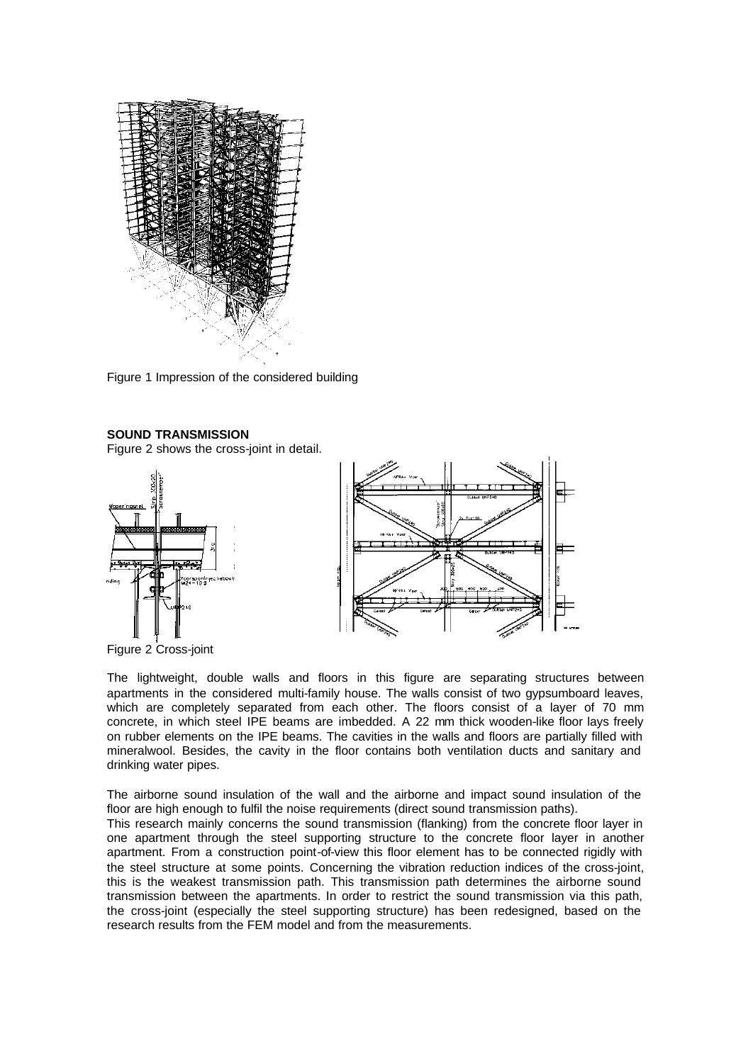

Figure 1 Impression of the considered building

## **SOUND TRANSMISSION**

Figure 2 shows the cross-joint in detail.



Figure 2 Cross-joint

The lightweight, double walls and floors in this figure are separating structures between apartments in the considered multi-family house. The walls consist of two gypsumboard leaves, which are completely separated from each other. The floors consist of a layer of 70 mm concrete, in which steel IPE beams are imbedded. A 22 mm thick wooden-like floor lays freely on rubber elements on the IPE beams. The cavities in the walls and floors are partially filled with mineralwool. Besides, the cavity in the floor contains both ventilation ducts and sanitary and drinking water pipes.

The airborne sound insulation of the wall and the airborne and impact sound insulation of the floor are high enough to fulfil the noise requirements (direct sound transmission paths).

This research mainly concerns the sound transmission (flanking) from the concrete floor layer in one apartment through the steel supporting structure to the concrete floor layer in another apartment. From a construction point-of-view this floor element has to be connected rigidly with the steel structure at some points. Concerning the vibration reduction indices of the cross-joint, this is the weakest transmission path. This transmission path determines the airborne sound transmission between the apartments. In order to restrict the sound transmission via this path, the cross-joint (especially the steel supporting structure) has been redesigned, based on the research results from the FEM model and from the measurements.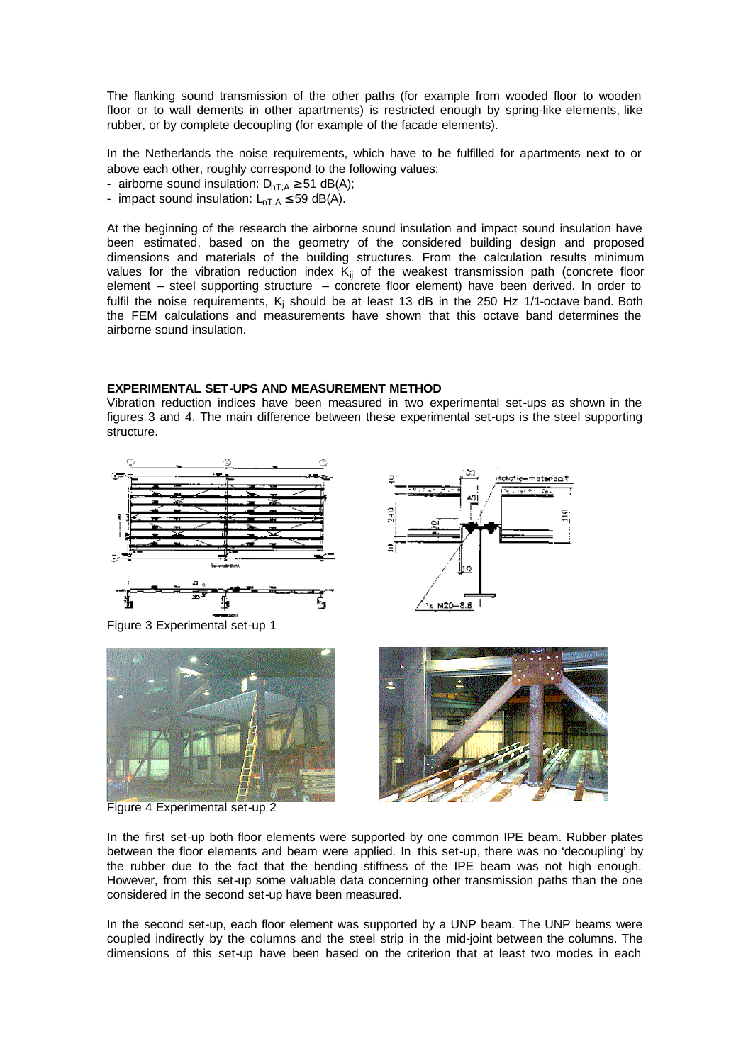The flanking sound transmission of the other paths (for example from wooded floor to wooden floor or to wall dements in other apartments) is restricted enough by spring-like elements, like rubber, or by complete decoupling (for example of the facade elements).

In the Netherlands the noise requirements, which have to be fulfilled for apartments next to or above each other, roughly correspond to the following values:

- airborne sound insulation:  $D_{nT:A} \geq 51$  dB(A);
- impact sound insulation:  $L_{nT:A} \leq 59$  dB(A).

At the beginning of the research the airborne sound insulation and impact sound insulation have been estimated, based on the geometry of the considered building design and proposed dimensions and materials of the building structures. From the calculation results minimum values for the vibration reduction index  $\tilde{K}_{ii}$  of the weakest transmission path (concrete floor element – steel supporting structure – concrete floor element) have been derived. In order to fulfil the noise requirements,  $K_i$  should be at least 13 dB in the 250 Hz 1/1-octave band. Both the FEM calculations and measurements have shown that this octave band determines the airborne sound insulation.

## **EXPERIMENTAL SET-UPS AND MEASUREMENT METHOD**

Vibration reduction indices have been measured in two experimental set-ups as shown in the figures 3 and 4. The main difference between these experimental set-ups is the steel supporting structure.



Figure 3 Experimental set-up 1



 $M20 - 8.8$ 



Figure 4 Experimental set-up 2

In the first set-up both floor elements were supported by one common IPE beam. Rubber plates between the floor elements and beam were applied. In this set-up, there was no 'decoupling' by the rubber due to the fact that the bending stiffness of the IPE beam was not high enough. However, from this set-up some valuable data concerning other transmission paths than the one considered in the second set-up have been measured.

In the second set-up, each floor element was supported by a UNP beam. The UNP beams were coupled indirectly by the columns and the steel strip in the mid-joint between the columns. The dimensions of this set-up have been based on the criterion that at least two modes in each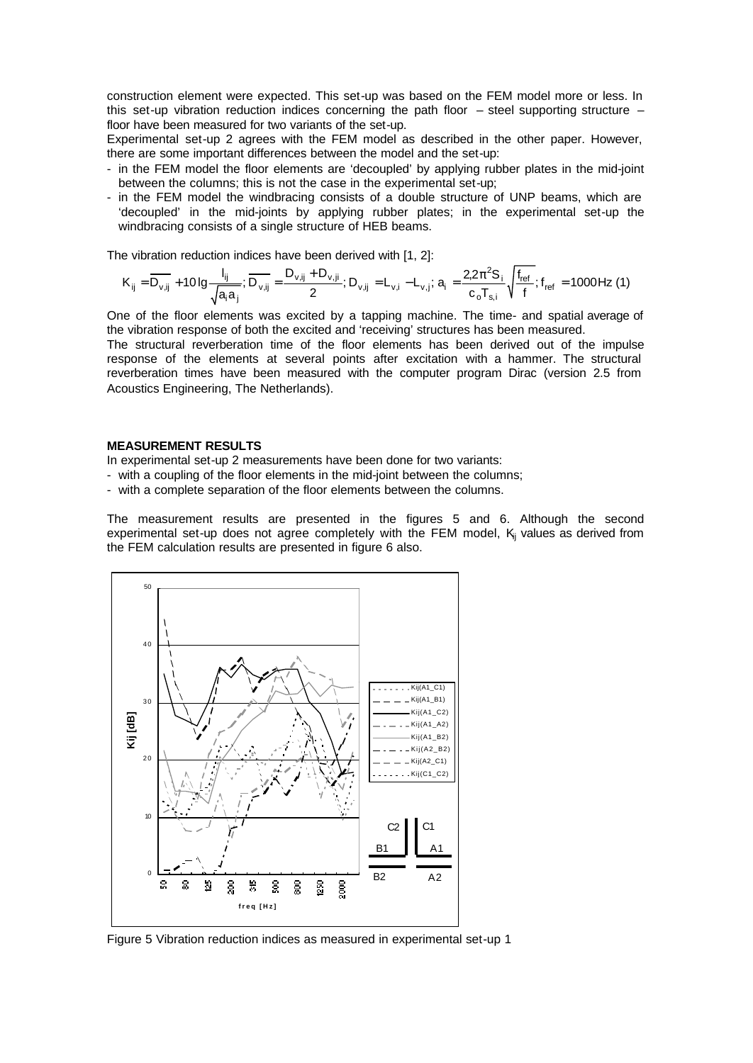construction element were expected. This set-up was based on the FEM model more or less. In this set-up vibration reduction indices concerning the path floor – steel supporting structure – floor have been measured for two variants of the set-up.

Experimental set-up 2 agrees with the FEM model as described in the other paper. However, there are some important differences between the model and the set-up:

- in the FEM model the floor elements are 'decoupled' by applying rubber plates in the mid-joint between the columns; this is not the case in the experimental set-up;
- in the FEM model the windbracing consists of a double structure of UNP beams, which are 'decoupled' in the mid-joints by applying rubber plates; in the experimental set-up the windbracing consists of a single structure of HEB beams.

The vibration reduction indices have been derived with [1, 2]:

$$
K_{ij}=\overline{D_{v,ij}}+10\lg\frac{I_{ij}}{\sqrt{a_ia_j}};\overline{D_{v,ij}}=\frac{D_{v,ij}+D_{v,ji}}{2};D_{v,ij}=L_{v,i}-L_{v,j};\, a_i=\frac{2,2\pi^2S_i}{c_oT_{s,i}}\sqrt{\frac{f_{ref}}{f}};f_{ref}=1000Hz\ (1)
$$

One of the floor elements was excited by a tapping machine. The time- and spatial average of the vibration response of both the excited and 'receiving' structures has been measured. The structural reverberation time of the floor elements has been derived out of the impulse response of the elements at several points after excitation with a hammer. The structural reverberation times have been measured with the computer program Dirac (version 2.5 from Acoustics Engineering, The Netherlands).

### **MEASUREMENT RESULTS**

In experimental set-up 2 measurements have been done for two variants:

- with a coupling of the floor elements in the mid-joint between the columns;
- with a complete separation of the floor elements between the columns.

The measurement results are presented in the figures 5 and 6. Although the second experimental set-up does not agree completely with the FEM model,  $K_i$  values as derived from the FEM calculation results are presented in figure 6 also.



Figure 5 Vibration reduction indices as measured in experimental set-up 1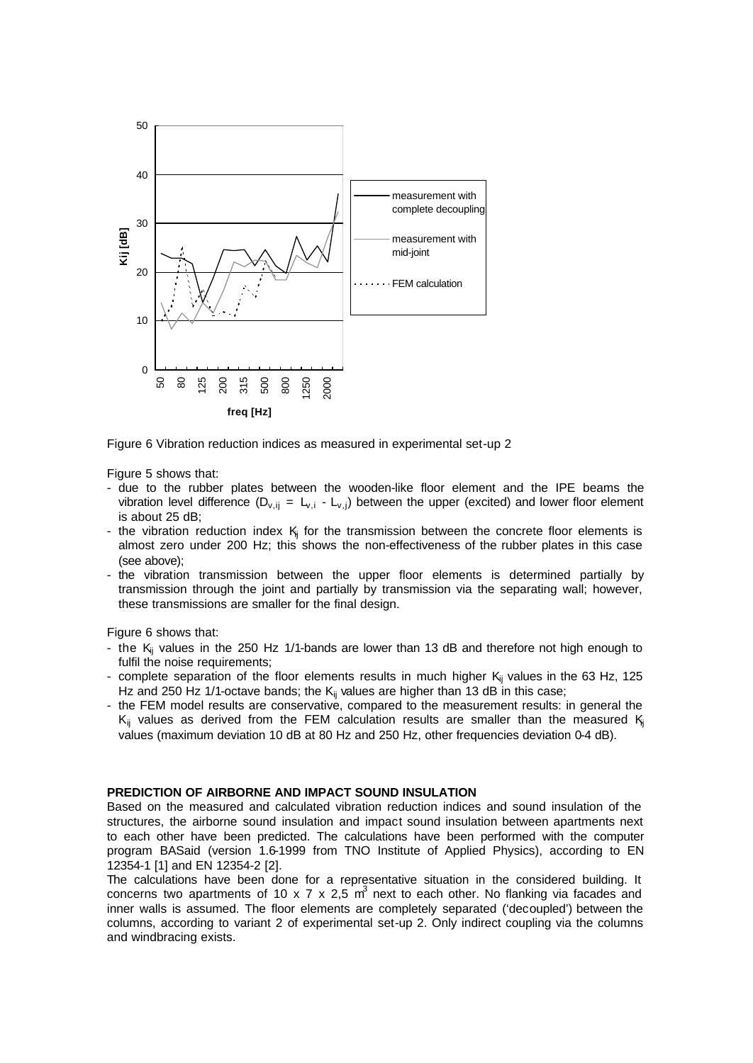

Figure 6 Vibration reduction indices as measured in experimental set-up 2

Figure 5 shows that:

- due to the rubber plates between the wooden-like floor element and the IPE beams the vibration level difference  $(D_{v,ij} = L_{v,i} - L_{v,j})$  between the upper (excited) and lower floor element is about 25 dB;
- the vibration reduction index  $K_i$  for the transmission between the concrete floor elements is almost zero under 200 Hz; this shows the non-effectiveness of the rubber plates in this case (see above);
- the vibration transmission between the upper floor elements is determined partially by transmission through the joint and partially by transmission via the separating wall; however, these transmissions are smaller for the final design.

Figure 6 shows that:

- the K<sub>ij</sub> values in the 250 Hz 1/1-bands are lower than 13 dB and therefore not high enough to fulfil the noise requirements;
- complete separation of the floor elements results in much higher  $K_{ii}$  values in the 63 Hz, 125 Hz and 250 Hz 1/1-octave bands; the  $K_{ij}$  values are higher than 13 dB in this case;
- the FEM model results are conservative, compared to the measurement results: in general the  $K_{ii}$  values as derived from the FEM calculation results are smaller than the measured  $K_{ii}$ values (maximum deviation 10 dB at 80 Hz and 250 Hz, other frequencies deviation 0-4 dB).

## **PREDICTION OF AIRBORNE AND IMPACT SOUND INSULATION**

Based on the measured and calculated vibration reduction indices and sound insulation of the structures, the airborne sound insulation and impact sound insulation between apartments next to each other have been predicted. The calculations have been performed with the computer program BASaid (version 1.6-1999 from TNO Institute of Applied Physics), according to EN 12354-1 [1] and EN 12354-2 [2].

The calculations have been done for a representative situation in the considered building. It concerns two apartments of 10 x 7 x 2,5  $\dot{m}^3$  next to each other. No flanking via facades and inner walls is assumed. The floor elements are completely separated ('decoupled') between the columns, according to variant 2 of experimental set-up 2. Only indirect coupling via the columns and windbracing exists.